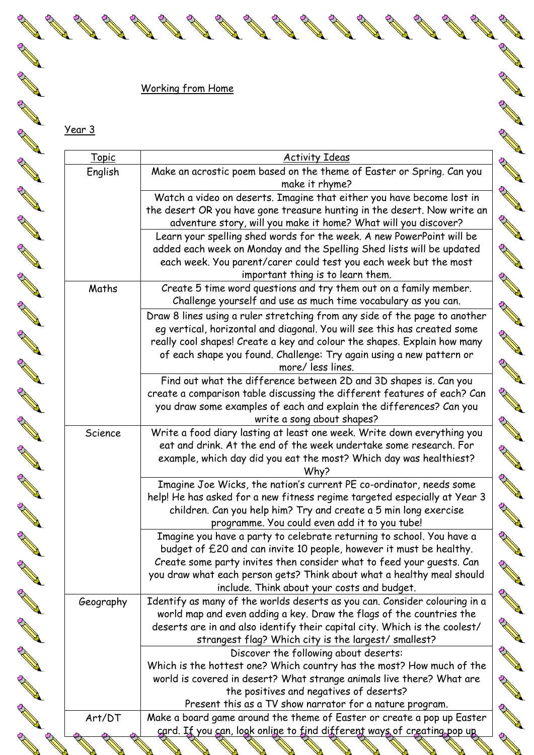## Working from Home

**RAW** 

**RAW** 

**RANTING ROOM** 

**RANTAGE SERVICE** 

**RANTAGE SERVICE** 

**RANT** 

**AND IN** 

**AND IN STRAIGHT AND STRAIGHT** 

Year 3

**AND** 

**AND ROWSER** 

**AND ROWSER** 

**RAWIN** 

**RAWA** 

**RAWAN** 

**AND R** 

**RAWAN** 

**RANT** 

| <u>Topic</u> | <b>Activity Ideas</b>                                                                                                                                                                                                                                                                                                                  |
|--------------|----------------------------------------------------------------------------------------------------------------------------------------------------------------------------------------------------------------------------------------------------------------------------------------------------------------------------------------|
| English      | Make an acrostic poem based on the theme of Easter or Spring. Can you<br>make it rhyme?                                                                                                                                                                                                                                                |
|              | Watch a video on deserts. Imagine that either you have become lost in<br>the desert OR you have gone treasure hunting in the desert. Now write an<br>adventure story, will you make it home? What will you discover?                                                                                                                   |
|              | Learn your spelling shed words for the week. A new PowerPoint will be<br>added each week on Monday and the Spelling Shed lists will be updated<br>each week. You parent/carer could test you each week but the most<br>important thing is to learn them.                                                                               |
| Maths        | Create 5 time word questions and try them out on a family member.<br>Challenge yourself and use as much time vocabulary as you can.                                                                                                                                                                                                    |
|              | Draw 8 lines using a ruler stretching from any side of the page to another<br>eg vertical, horizontal and diagonal. You will see this has created some<br>really cool shapes! Create a key and colour the shapes. Explain how many<br>of each shape you found. Challenge: Try again using a new pattern or<br>more/ less lines.        |
|              | Find out what the difference between 2D and 3D shapes is. Can you<br>create a comparison table discussing the different features of each? Can<br>you draw some examples of each and explain the differences? Can you<br>write a song about shapes?                                                                                     |
| Science      | Write a food diary lasting at least one week. Write down everything you<br>eat and drink. At the end of the week undertake some research. For<br>example, which day did you eat the most? Which day was healthiest?<br>Why?                                                                                                            |
|              | Imagine Joe Wicks, the nation's current PE co-ordinator, needs some<br>help! He has asked for a new fitness regime targeted especially at Year 3<br>children. Can you help him? Try and create a 5 min long exercise<br>programme. You could even add it to you tube!                                                                  |
|              | Imagine you have a party to celebrate returning to school. You have a<br>budget of £20 and can invite 10 people, however it must be healthy.<br>Create some party invites then consider what to feed your quests. Can<br>you draw what each person gets? Think about what a healthy meal should                                        |
| Geography    | include. Think about your costs and budget.<br>Identify as many of the worlds deserts as you can. Consider colouring in a<br>world map and even adding a key. Draw the flags of the countries the<br>deserts are in and also identify their capital city. Which is the coolest/<br>strangest flag? Which city is the largest/smallest? |
|              | Discover the following about deserts:<br>Which is the hottest one? Which country has the most? How much of the<br>world is covered in desert? What strange animals live there? What are                                                                                                                                                |
|              | the positives and negatives of deserts?<br>Present this as a TV show narrator for a nature program.                                                                                                                                                                                                                                    |

**AND ROWSER** 

**RAWA** 

**RAWA** 

**RAWA** 

**RAND** 

**RAW** 

**RAWAN** 

**RANT** 

**RAWA** 

**RANT** 

**RAWA** 

**RAWAN** 

**RANK** 

**RAWA** 

**RAWA** 

**RAWA** 

**RAWA** 

**RAWAN** 

**RAWA** 

**RANT** 

**RAWAN** 

**RANT** 

**RAWA** 

**RANT** 

**RANT** 

**AND** 

**RANTING ROOM** 

**RANT**